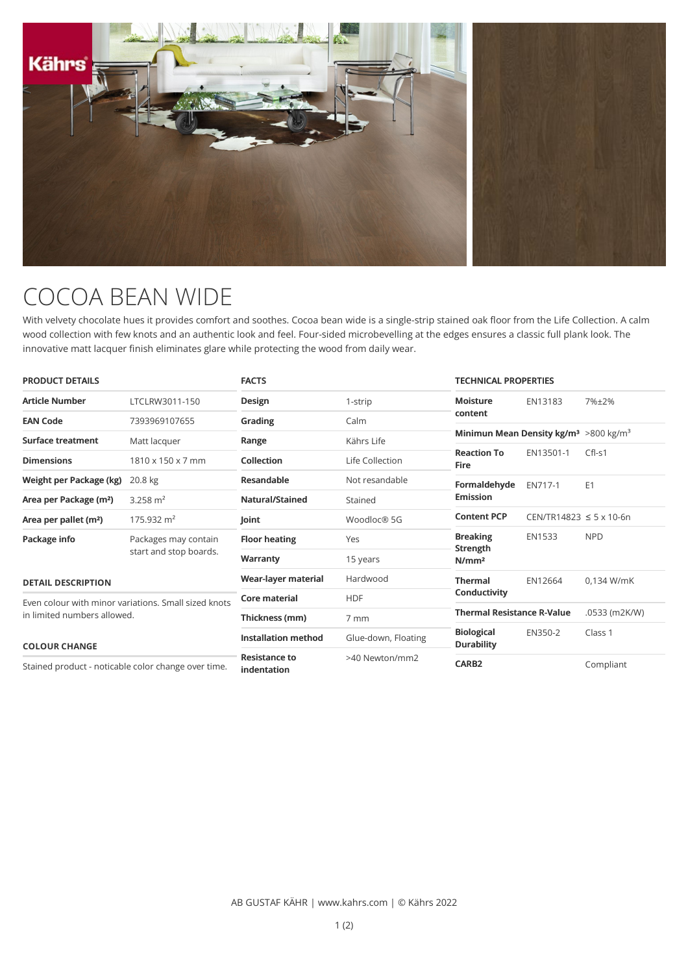

## COCOA BEAN WIDE

With velvety chocolate hues it provides comfort and soothes. Cocoa bean wide is a single-strip stained oak floor from the Life Collection. A calm wood collection with few knots and an authentic look and feel. Four-sided microbevelling at the edges ensures a classic full plank look. The innovative matt lacquer finish eliminates glare while protecting the wood from daily wear.

| <b>PRODUCT DETAILS</b>                                                                                      |                                                | <b>FACTS</b>                        |                     | <b>TECHNICAL PROPERTIES</b>                                   |                                   |                |
|-------------------------------------------------------------------------------------------------------------|------------------------------------------------|-------------------------------------|---------------------|---------------------------------------------------------------|-----------------------------------|----------------|
| <b>Article Number</b>                                                                                       | LTCLRW3011-150                                 | <b>Design</b>                       | 1-strip             | <b>Moisture</b>                                               | EN13183                           | 7%±2%          |
| <b>EAN Code</b>                                                                                             | 7393969107655                                  | Grading                             | Calm                | content                                                       |                                   |                |
| Surface treatment                                                                                           | Matt lacquer                                   | Range                               | Kährs Life          | Minimun Mean Density kg/m <sup>3</sup> >800 kg/m <sup>3</sup> |                                   |                |
| <b>Dimensions</b>                                                                                           | 1810 x 150 x 7 mm                              | Collection                          | Life Collection     | <b>Reaction To</b><br><b>Fire</b>                             | EN13501-1                         | $Cfl-S1$       |
| Weight per Package (kg)                                                                                     | 20.8 kg                                        | Resandable                          | Not resandable      | Formaldehyde<br><b>Emission</b>                               | EN717-1                           | E <sub>1</sub> |
| Area per Package (m <sup>2</sup> )                                                                          | 3.258 $m2$                                     | Natural/Stained                     | Stained             |                                                               |                                   |                |
| Area per pallet (m <sup>2</sup> )                                                                           | 175.932 $m2$                                   | Joint                               | Woodloc® 5G         | <b>Content PCP</b>                                            | $CEN/TR14823 \le 5 \times 10.6$ n |                |
| Package info                                                                                                | Packages may contain<br>start and stop boards. | <b>Floor heating</b>                | Yes                 | <b>Breaking</b><br>Strength<br>N/mm <sup>2</sup>              | EN1533                            | <b>NPD</b>     |
|                                                                                                             |                                                | Warranty                            | 15 years            |                                                               |                                   |                |
| <b>DETAIL DESCRIPTION</b>                                                                                   |                                                | Wear-layer material                 | Hardwood            | <b>Thermal</b>                                                | EN12664                           | 0,134 W/mK     |
| Even colour with minor variations. Small sized knots<br>in limited numbers allowed.<br><b>COLOUR CHANGE</b> |                                                | Core material                       | <b>HDF</b>          | Conductivity                                                  |                                   |                |
|                                                                                                             |                                                | Thickness (mm)                      | 7 mm                | <b>Thermal Resistance R-Value</b>                             |                                   | .0533 (m2K/W)  |
|                                                                                                             |                                                | <b>Installation method</b>          | Glue-down, Floating | <b>Biological</b><br><b>Durability</b>                        | EN350-2                           | Class 1        |
| Stained product - noticable color change over time.                                                         |                                                | <b>Resistance to</b><br>indentation | >40 Newton/mm2      | CARB <sub>2</sub>                                             |                                   | Compliant      |